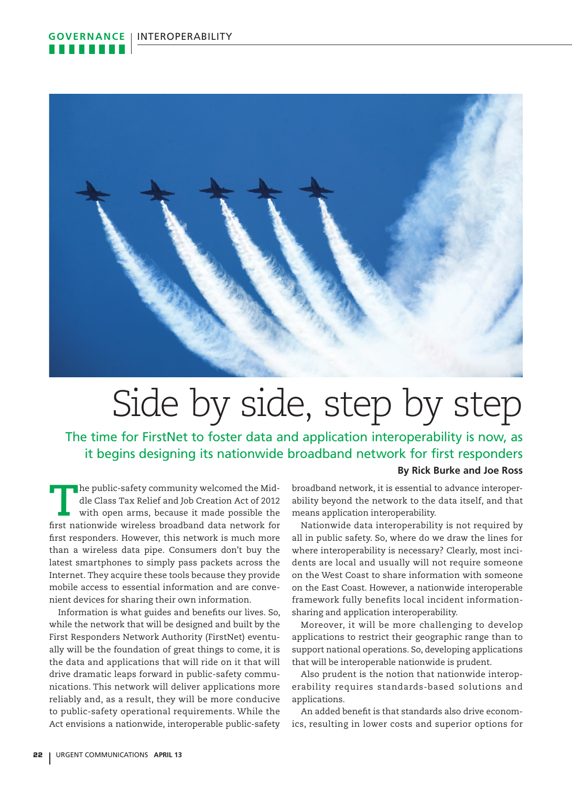

## Side by side, step by step

The time for FirstNet to foster data and application interoperability is now, as it begins designing its nationwide broadband network for first responders

## **By Rick Burke and Joe Ross**

**T**he public-safety community welcomed the Middle Class Tax Relief and Job Creation Act of 2012 with open arms, because it made possible the first nationwide wireless broadband data network for first responders. However, this network is much more than a wireless data pipe. Consumers don't buy the latest smartphones to simply pass packets across the Internet. They acquire these tools because they provide mobile access to essential information and are convenient devices for sharing their own information.

Information is what guides and benefits our lives. So, while the network that will be designed and built by the First Responders Network Authority (FirstNet) eventually will be the foundation of great things to come, it is the data and applications that will ride on it that will drive dramatic leaps forward in public-safety communications. This network will deliver applications more reliably and, as a result, they will be more conducive to public-safety operational requirements. While the Act envisions a nationwide, interoperable public-safety broadband network, it is essential to advance interoperability beyond the network to the data itself, and that means application interoperability.

Nationwide data interoperability is not required by all in public safety. So, where do we draw the lines for where interoperability is necessary? Clearly, most incidents are local and usually will not require someone on the West Coast to share information with someone on the East Coast. However, a nationwide interoperable framework fully benefits local incident informationsharing and application interoperability.

Moreover, it will be more challenging to develop applications to restrict their geographic range than to support national operations. So, developing applications that will be interoperable nationwide is prudent.

Also prudent is the notion that nationwide interoperability requires standards-based solutions and applications.

An added benefit is that standards also drive economics, resulting in lower costs and superior options for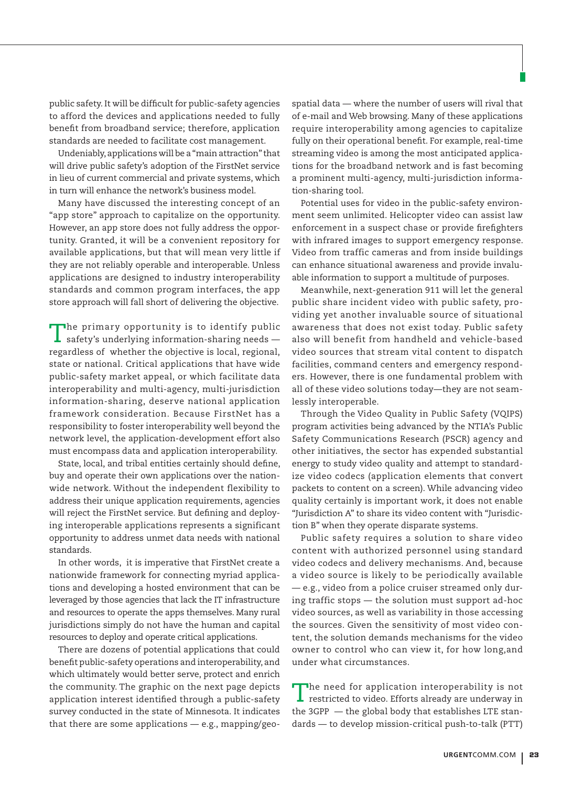public safety. It will be difficult for public-safety agencies to afford the devices and applications needed to fully benefit from broadband service; therefore, application standards are needed to facilitate cost management.

Undeniably, applications will be a "main attraction" that will drive public safety's adoption of the FirstNet service in lieu of current commercial and private systems, which in turn will enhance the network's business model.

Many have discussed the interesting concept of an "app store" approach to capitalize on the opportunity. However, an app store does not fully address the opportunity. Granted, it will be a convenient repository for available applications, but that will mean very little if they are not reliably operable and interoperable. Unless applications are designed to industry interoperability standards and common program interfaces, the app store approach will fall short of delivering the objective.

The primary opportunity is to identify public safety's underlying information-sharing needs regardless of whether the objective is local, regional, state or national. Critical applications that have wide public-safety market appeal, or which facilitate data interoperability and multi-agency, multi-jurisdiction information-sharing, deserve national application framework consideration. Because FirstNet has a responsibility to foster interoperability well beyond the network level, the application-development effort also must encompass data and application interoperability.

State, local, and tribal entities certainly should define, buy and operate their own applications over the nationwide network. Without the independent flexibility to address their unique application requirements, agencies will reject the FirstNet service. But defining and deploying interoperable applications represents a significant opportunity to address unmet data needs with national standards.

In other words, it is imperative that FirstNet create a nationwide framework for connecting myriad applications and developing a hosted environment that can be leveraged by those agencies that lack the IT infrastructure and resources to operate the apps themselves. Many rural jurisdictions simply do not have the human and capital resources to deploy and operate critical applications.

There are dozens of potential applications that could benefit public-safety operations and interoperability, and which ultimately would better serve, protect and enrich the community. The graphic on the next page depicts application interest identified through a public-safety survey conducted in the state of Minnesota. It indicates that there are some applications — e.g., mapping/geospatial data — where the number of users will rival that of e-mail and Web browsing. Many of these applications require interoperability among agencies to capitalize fully on their operational benefit. For example, real-time streaming video is among the most anticipated applications for the broadband network and is fast becoming a prominent multi-agency, multi-jurisdiction information-sharing tool.

Potential uses for video in the public-safety environment seem unlimited. Helicopter video can assist law enforcement in a suspect chase or provide firefighters with infrared images to support emergency response. Video from traffic cameras and from inside buildings can enhance situational awareness and provide invaluable information to support a multitude of purposes.

Meanwhile, next-generation 911 will let the general public share incident video with public safety, providing yet another invaluable source of situational awareness that does not exist today. Public safety also will benefit from handheld and vehicle-based video sources that stream vital content to dispatch facilities, command centers and emergency responders. However, there is one fundamental problem with all of these video solutions today—they are not seamlessly interoperable.

Through the Video Quality in Public Safety (VQIPS) program activities being advanced by the NTIA's Public Safety Communications Research (PSCR) agency and other initiatives, the sector has expended substantial energy to study video quality and attempt to standardize video codecs (application elements that convert packets to content on a screen). While advancing video quality certainly is important work, it does not enable "Jurisdiction A" to share its video content with "Jurisdiction B" when they operate disparate systems.

Public safety requires a solution to share video content with authorized personnel using standard video codecs and delivery mechanisms. And, because a video source is likely to be periodically available — e.g., video from a police cruiser streamed only during traffic stops — the solution must support ad-hoc video sources, as well as variability in those accessing the sources. Given the sensitivity of most video content, the solution demands mechanisms for the video owner to control who can view it, for how long,and under what circumstances.

The need for application interoperability is not  $\mathsf L$  restricted to video. Efforts already are underway in the 3GPP — the global body that establishes LTE standards — to develop mission-critical push-to-talk (PTT)